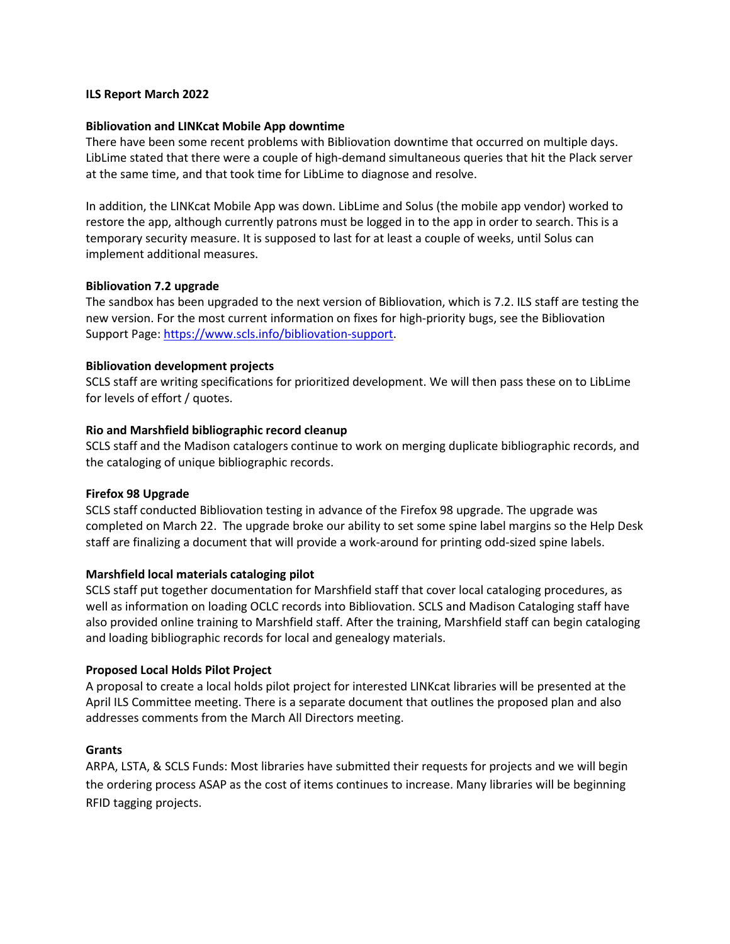### **ILS Report March 2022**

### **Bibliovation and LINKcat Mobile App downtime**

There have been some recent problems with Bibliovation downtime that occurred on multiple days. LibLime stated that there were a couple of high-demand simultaneous queries that hit the Plack server at the same time, and that took time for LibLime to diagnose and resolve.

In addition, the LINKcat Mobile App was down. LibLime and Solus (the mobile app vendor) worked to restore the app, although currently patrons must be logged in to the app in order to search. This is a temporary security measure. It is supposed to last for at least a couple of weeks, until Solus can implement additional measures.

### **Bibliovation 7.2 upgrade**

The sandbox has been upgraded to the next version of Bibliovation, which is 7.2. ILS staff are testing the new version. For the most current information on fixes for high-priority bugs, see the Bibliovation Support Page: https://www.scls.info/bibliovation-support.

### **Bibliovation development projects**

SCLS staff are writing specifications for prioritized development. We will then pass these on to LibLime for levels of effort / quotes.

### **Rio and Marshfield bibliographic record cleanup**

SCLS staff and the Madison catalogers continue to work on merging duplicate bibliographic records, and the cataloging of unique bibliographic records.

#### **Firefox 98 Upgrade**

SCLS staff conducted Bibliovation testing in advance of the Firefox 98 upgrade. The upgrade was completed on March 22. The upgrade broke our ability to set some spine label margins so the Help Desk staff are finalizing a document that will provide a work-around for printing odd-sized spine labels.

## **Marshfield local materials cataloging pilot**

SCLS staff put together documentation for Marshfield staff that cover local cataloging procedures, as well as information on loading OCLC records into Bibliovation. SCLS and Madison Cataloging staff have also provided online training to Marshfield staff. After the training, Marshfield staff can begin cataloging and loading bibliographic records for local and genealogy materials.

#### **Proposed Local Holds Pilot Project**

A proposal to create a local holds pilot project for interested LINKcat libraries will be presented at the April ILS Committee meeting. There is a separate document that outlines the proposed plan and also addresses comments from the March All Directors meeting.

#### **Grants**

ARPA, LSTA, & SCLS Funds: Most libraries have submitted their requests for projects and we will begin the ordering process ASAP as the cost of items continues to increase. Many libraries will be beginning RFID tagging projects.